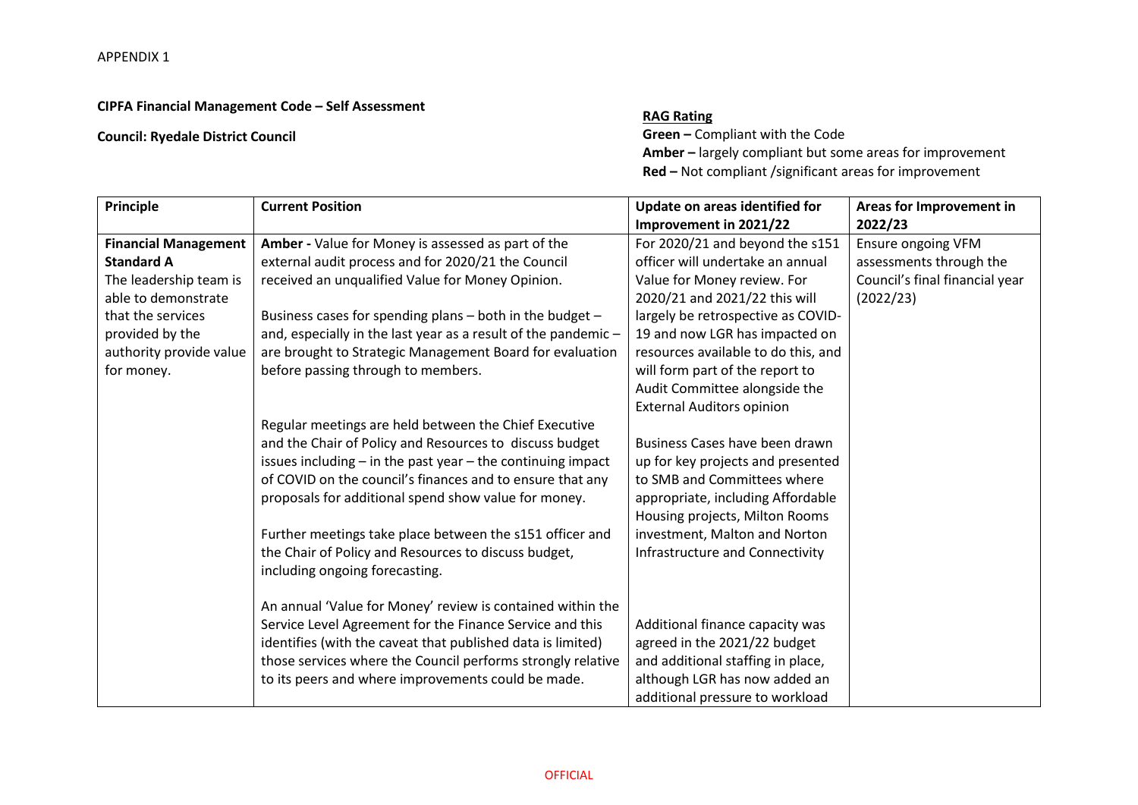## **CIPFA Financial Management Code – Self Assessment**

## **Council: Ryedale District Council**

## **RAG Rating**

**Green –** Compliant with the Code **Amber –** largely compliant but some areas for improvement **Red –** Not compliant /significant areas for improvement

| Principle                   | <b>Current Position</b>                                         | Update on areas identified for      | Areas for Improvement in       |
|-----------------------------|-----------------------------------------------------------------|-------------------------------------|--------------------------------|
|                             |                                                                 | Improvement in 2021/22              | 2022/23                        |
| <b>Financial Management</b> | Amber - Value for Money is assessed as part of the              | For 2020/21 and beyond the s151     | Ensure ongoing VFM             |
| <b>Standard A</b>           | external audit process and for 2020/21 the Council              | officer will undertake an annual    | assessments through the        |
| The leadership team is      | received an unqualified Value for Money Opinion.                | Value for Money review. For         | Council's final financial year |
| able to demonstrate         |                                                                 | 2020/21 and 2021/22 this will       | (2022/23)                      |
| that the services           | Business cases for spending plans - both in the budget -        | largely be retrospective as COVID-  |                                |
| provided by the             | and, especially in the last year as a result of the pandemic -  | 19 and now LGR has impacted on      |                                |
| authority provide value     | are brought to Strategic Management Board for evaluation        | resources available to do this, and |                                |
| for money.                  | before passing through to members.                              | will form part of the report to     |                                |
|                             |                                                                 | Audit Committee alongside the       |                                |
|                             |                                                                 | <b>External Auditors opinion</b>    |                                |
|                             | Regular meetings are held between the Chief Executive           |                                     |                                |
|                             | and the Chair of Policy and Resources to discuss budget         | Business Cases have been drawn      |                                |
|                             | issues including $-$ in the past year $-$ the continuing impact | up for key projects and presented   |                                |
|                             | of COVID on the council's finances and to ensure that any       | to SMB and Committees where         |                                |
|                             | proposals for additional spend show value for money.            | appropriate, including Affordable   |                                |
|                             |                                                                 | Housing projects, Milton Rooms      |                                |
|                             | Further meetings take place between the s151 officer and        | investment, Malton and Norton       |                                |
|                             | the Chair of Policy and Resources to discuss budget,            | Infrastructure and Connectivity     |                                |
|                             | including ongoing forecasting.                                  |                                     |                                |
|                             |                                                                 |                                     |                                |
|                             | An annual 'Value for Money' review is contained within the      |                                     |                                |
|                             | Service Level Agreement for the Finance Service and this        | Additional finance capacity was     |                                |
|                             | identifies (with the caveat that published data is limited)     | agreed in the 2021/22 budget        |                                |
|                             | those services where the Council performs strongly relative     | and additional staffing in place,   |                                |
|                             | to its peers and where improvements could be made.              | although LGR has now added an       |                                |
|                             |                                                                 | additional pressure to workload     |                                |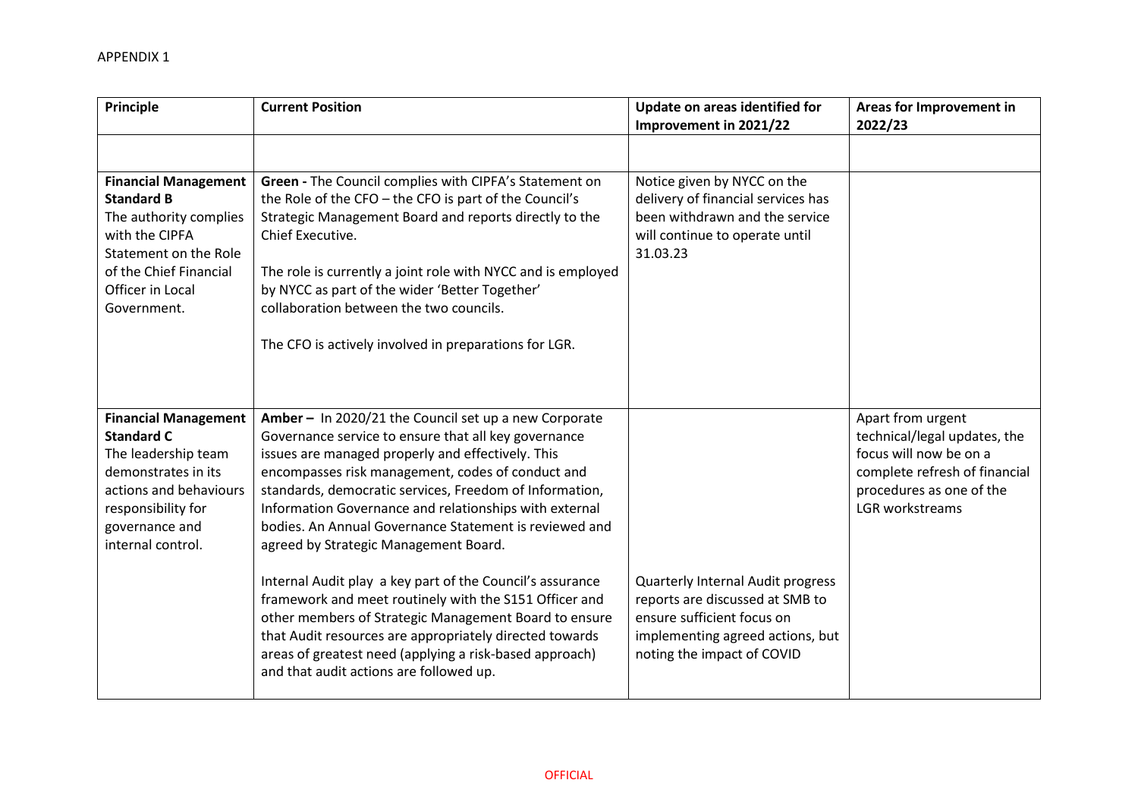| Principle                                                                                                                                                                             | <b>Current Position</b>                                                                                                                                                                                                                                                                                                                                                                                                                                                                                                                                                                                                                                                                                                                                                                          | Update on areas identified for<br>Improvement in 2021/22                                                                                                             | Areas for Improvement in<br>2022/23                                                                                                                         |
|---------------------------------------------------------------------------------------------------------------------------------------------------------------------------------------|--------------------------------------------------------------------------------------------------------------------------------------------------------------------------------------------------------------------------------------------------------------------------------------------------------------------------------------------------------------------------------------------------------------------------------------------------------------------------------------------------------------------------------------------------------------------------------------------------------------------------------------------------------------------------------------------------------------------------------------------------------------------------------------------------|----------------------------------------------------------------------------------------------------------------------------------------------------------------------|-------------------------------------------------------------------------------------------------------------------------------------------------------------|
|                                                                                                                                                                                       |                                                                                                                                                                                                                                                                                                                                                                                                                                                                                                                                                                                                                                                                                                                                                                                                  |                                                                                                                                                                      |                                                                                                                                                             |
| <b>Financial Management</b><br><b>Standard B</b><br>The authority complies<br>with the CIPFA<br>Statement on the Role<br>of the Chief Financial<br>Officer in Local<br>Government.    | Green - The Council complies with CIPFA's Statement on<br>the Role of the CFO - the CFO is part of the Council's<br>Strategic Management Board and reports directly to the<br>Chief Executive.<br>The role is currently a joint role with NYCC and is employed<br>by NYCC as part of the wider 'Better Together'<br>collaboration between the two councils.<br>The CFO is actively involved in preparations for LGR.                                                                                                                                                                                                                                                                                                                                                                             | Notice given by NYCC on the<br>delivery of financial services has<br>been withdrawn and the service<br>will continue to operate until<br>31.03.23                    |                                                                                                                                                             |
| <b>Financial Management</b><br><b>Standard C</b><br>The leadership team<br>demonstrates in its<br>actions and behaviours<br>responsibility for<br>governance and<br>internal control. | Amber - In 2020/21 the Council set up a new Corporate<br>Governance service to ensure that all key governance<br>issues are managed properly and effectively. This<br>encompasses risk management, codes of conduct and<br>standards, democratic services, Freedom of Information,<br>Information Governance and relationships with external<br>bodies. An Annual Governance Statement is reviewed and<br>agreed by Strategic Management Board.<br>Internal Audit play a key part of the Council's assurance<br>framework and meet routinely with the S151 Officer and<br>other members of Strategic Management Board to ensure<br>that Audit resources are appropriately directed towards<br>areas of greatest need (applying a risk-based approach)<br>and that audit actions are followed up. | Quarterly Internal Audit progress<br>reports are discussed at SMB to<br>ensure sufficient focus on<br>implementing agreed actions, but<br>noting the impact of COVID | Apart from urgent<br>technical/legal updates, the<br>focus will now be on a<br>complete refresh of financial<br>procedures as one of the<br>LGR workstreams |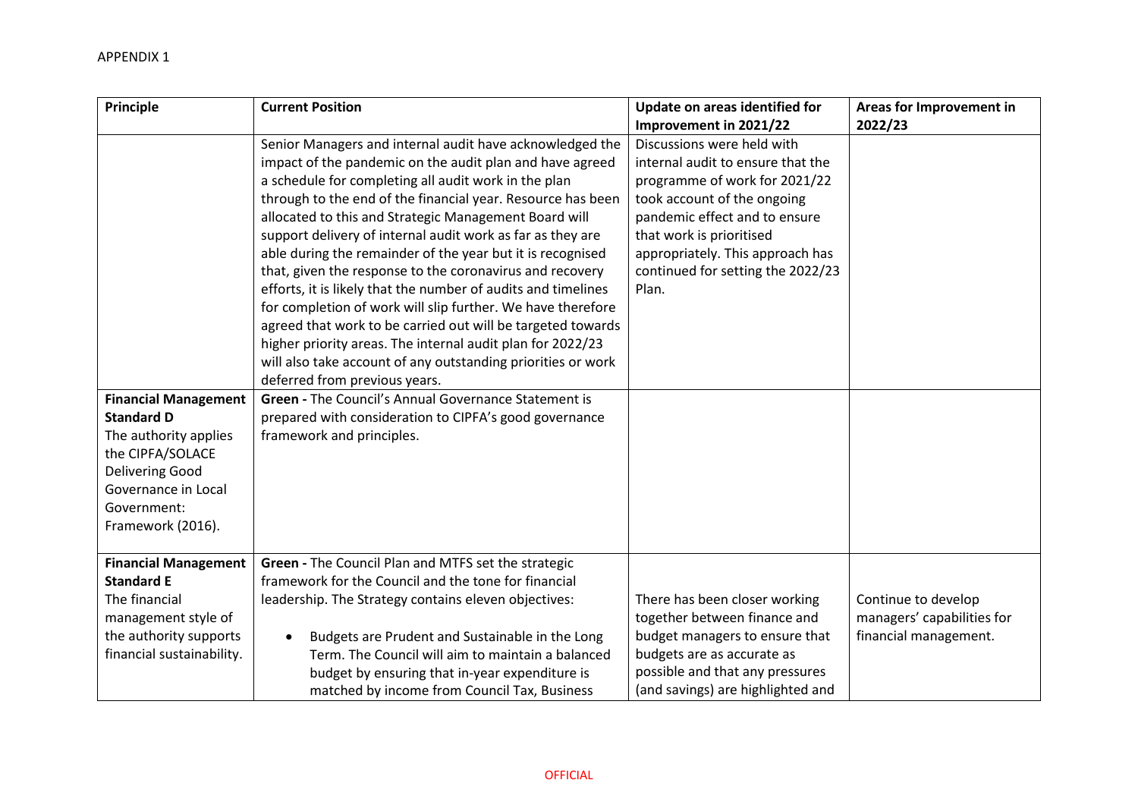| Principle                   | <b>Current Position</b>                                       | Update on areas identified for    | Areas for Improvement in   |
|-----------------------------|---------------------------------------------------------------|-----------------------------------|----------------------------|
|                             |                                                               | Improvement in 2021/22            | 2022/23                    |
|                             | Senior Managers and internal audit have acknowledged the      | Discussions were held with        |                            |
|                             | impact of the pandemic on the audit plan and have agreed      | internal audit to ensure that the |                            |
|                             | a schedule for completing all audit work in the plan          | programme of work for 2021/22     |                            |
|                             | through to the end of the financial year. Resource has been   | took account of the ongoing       |                            |
|                             | allocated to this and Strategic Management Board will         | pandemic effect and to ensure     |                            |
|                             | support delivery of internal audit work as far as they are    | that work is prioritised          |                            |
|                             | able during the remainder of the year but it is recognised    | appropriately. This approach has  |                            |
|                             | that, given the response to the coronavirus and recovery      | continued for setting the 2022/23 |                            |
|                             | efforts, it is likely that the number of audits and timelines | Plan.                             |                            |
|                             | for completion of work will slip further. We have therefore   |                                   |                            |
|                             | agreed that work to be carried out will be targeted towards   |                                   |                            |
|                             | higher priority areas. The internal audit plan for 2022/23    |                                   |                            |
|                             | will also take account of any outstanding priorities or work  |                                   |                            |
|                             | deferred from previous years.                                 |                                   |                            |
| <b>Financial Management</b> | <b>Green - The Council's Annual Governance Statement is</b>   |                                   |                            |
| <b>Standard D</b>           | prepared with consideration to CIPFA's good governance        |                                   |                            |
| The authority applies       | framework and principles.                                     |                                   |                            |
| the CIPFA/SOLACE            |                                                               |                                   |                            |
| <b>Delivering Good</b>      |                                                               |                                   |                            |
| Governance in Local         |                                                               |                                   |                            |
| Government:                 |                                                               |                                   |                            |
| Framework (2016).           |                                                               |                                   |                            |
| <b>Financial Management</b> | Green - The Council Plan and MTFS set the strategic           |                                   |                            |
| <b>Standard E</b>           | framework for the Council and the tone for financial          |                                   |                            |
| The financial               | leadership. The Strategy contains eleven objectives:          | There has been closer working     | Continue to develop        |
| management style of         |                                                               | together between finance and      | managers' capabilities for |
| the authority supports      | Budgets are Prudent and Sustainable in the Long               | budget managers to ensure that    | financial management.      |
| financial sustainability.   | Term. The Council will aim to maintain a balanced             | budgets are as accurate as        |                            |
|                             | budget by ensuring that in-year expenditure is                | possible and that any pressures   |                            |
|                             | matched by income from Council Tax, Business                  | (and savings) are highlighted and |                            |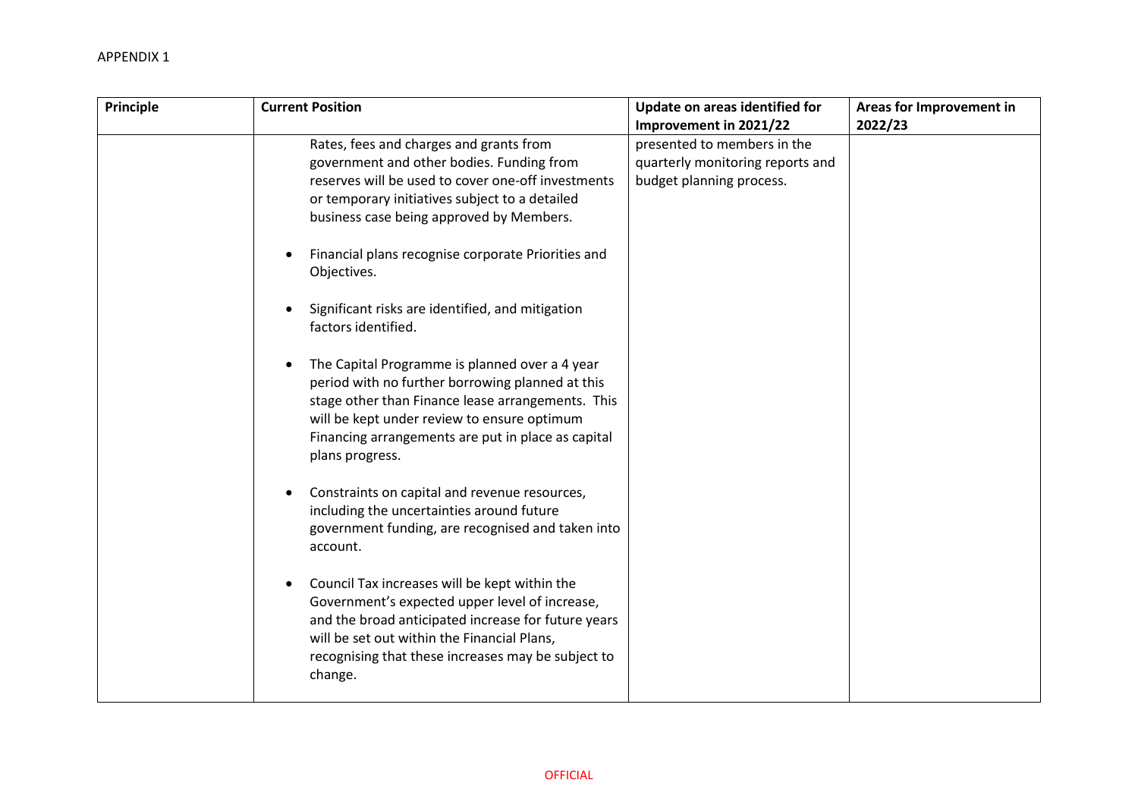| Principle | <b>Current Position</b>                                                                                                                                                                                                                                                                                                                                                                                                                                                                                                                                                                                                                                                                                                                                                                                                                                                                                                                                                                                                                                                                                              | Update on areas identified for<br>Improvement in 2021/22                                    | Areas for Improvement in<br>2022/23 |
|-----------|----------------------------------------------------------------------------------------------------------------------------------------------------------------------------------------------------------------------------------------------------------------------------------------------------------------------------------------------------------------------------------------------------------------------------------------------------------------------------------------------------------------------------------------------------------------------------------------------------------------------------------------------------------------------------------------------------------------------------------------------------------------------------------------------------------------------------------------------------------------------------------------------------------------------------------------------------------------------------------------------------------------------------------------------------------------------------------------------------------------------|---------------------------------------------------------------------------------------------|-------------------------------------|
|           | Rates, fees and charges and grants from<br>government and other bodies. Funding from<br>reserves will be used to cover one-off investments<br>or temporary initiatives subject to a detailed<br>business case being approved by Members.<br>Financial plans recognise corporate Priorities and<br>Objectives.<br>Significant risks are identified, and mitigation<br>factors identified.<br>The Capital Programme is planned over a 4 year<br>period with no further borrowing planned at this<br>stage other than Finance lease arrangements. This<br>will be kept under review to ensure optimum<br>Financing arrangements are put in place as capital<br>plans progress.<br>Constraints on capital and revenue resources,<br>including the uncertainties around future<br>government funding, are recognised and taken into<br>account.<br>Council Tax increases will be kept within the<br>Government's expected upper level of increase,<br>and the broad anticipated increase for future years<br>will be set out within the Financial Plans,<br>recognising that these increases may be subject to<br>change. | presented to members in the<br>quarterly monitoring reports and<br>budget planning process. |                                     |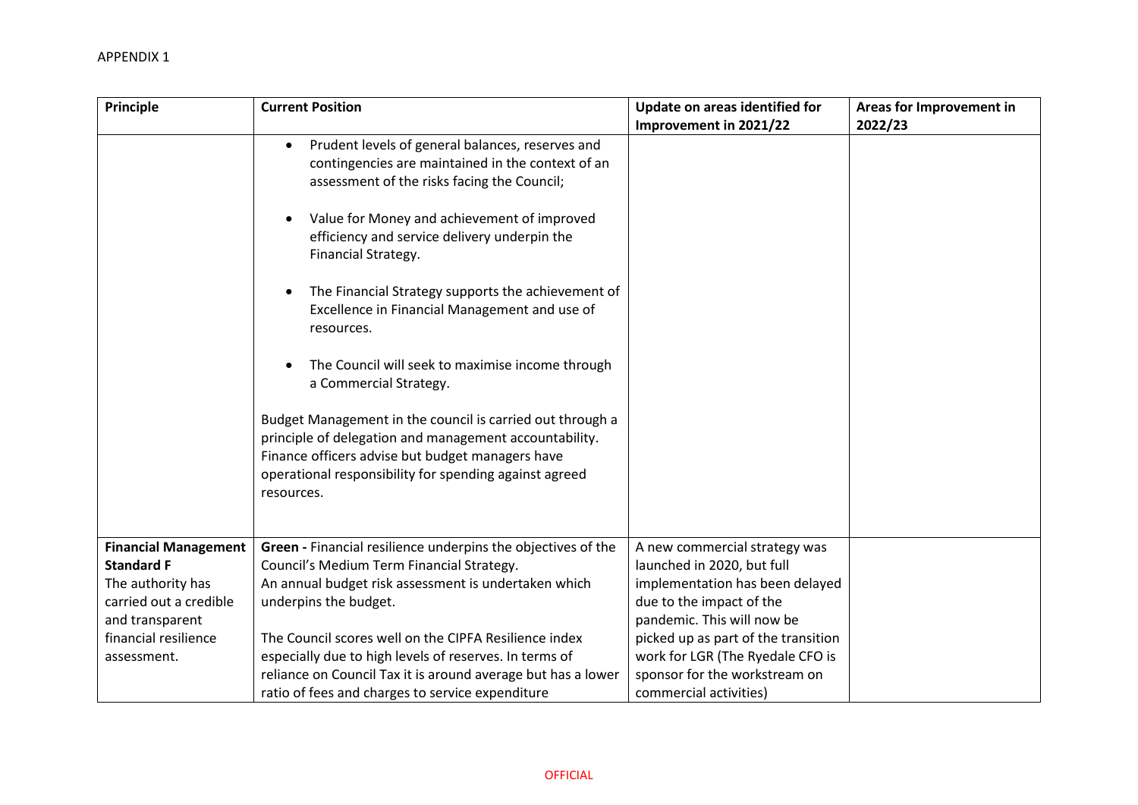| Principle                                                                                                                                                 | <b>Current Position</b>                                                                                                                                                                                                                                                                                                                                                                                                                                                       | Update on areas identified for                                                                                                                                                                                                                                                                 | Areas for Improvement in |
|-----------------------------------------------------------------------------------------------------------------------------------------------------------|-------------------------------------------------------------------------------------------------------------------------------------------------------------------------------------------------------------------------------------------------------------------------------------------------------------------------------------------------------------------------------------------------------------------------------------------------------------------------------|------------------------------------------------------------------------------------------------------------------------------------------------------------------------------------------------------------------------------------------------------------------------------------------------|--------------------------|
|                                                                                                                                                           | Prudent levels of general balances, reserves and<br>contingencies are maintained in the context of an<br>assessment of the risks facing the Council;<br>Value for Money and achievement of improved<br>efficiency and service delivery underpin the<br>Financial Strategy.<br>The Financial Strategy supports the achievement of<br>Excellence in Financial Management and use of<br>resources.<br>The Council will seek to maximise income through<br>a Commercial Strategy. | Improvement in 2021/22                                                                                                                                                                                                                                                                         | 2022/23                  |
|                                                                                                                                                           | Budget Management in the council is carried out through a<br>principle of delegation and management accountability.<br>Finance officers advise but budget managers have<br>operational responsibility for spending against agreed<br>resources.                                                                                                                                                                                                                               |                                                                                                                                                                                                                                                                                                |                          |
| <b>Financial Management</b><br><b>Standard F</b><br>The authority has<br>carried out a credible<br>and transparent<br>financial resilience<br>assessment. | Green - Financial resilience underpins the objectives of the<br>Council's Medium Term Financial Strategy.<br>An annual budget risk assessment is undertaken which<br>underpins the budget.<br>The Council scores well on the CIPFA Resilience index<br>especially due to high levels of reserves. In terms of<br>reliance on Council Tax it is around average but has a lower<br>ratio of fees and charges to service expenditure                                             | A new commercial strategy was<br>launched in 2020, but full<br>implementation has been delayed<br>due to the impact of the<br>pandemic. This will now be<br>picked up as part of the transition<br>work for LGR (The Ryedale CFO is<br>sponsor for the workstream on<br>commercial activities) |                          |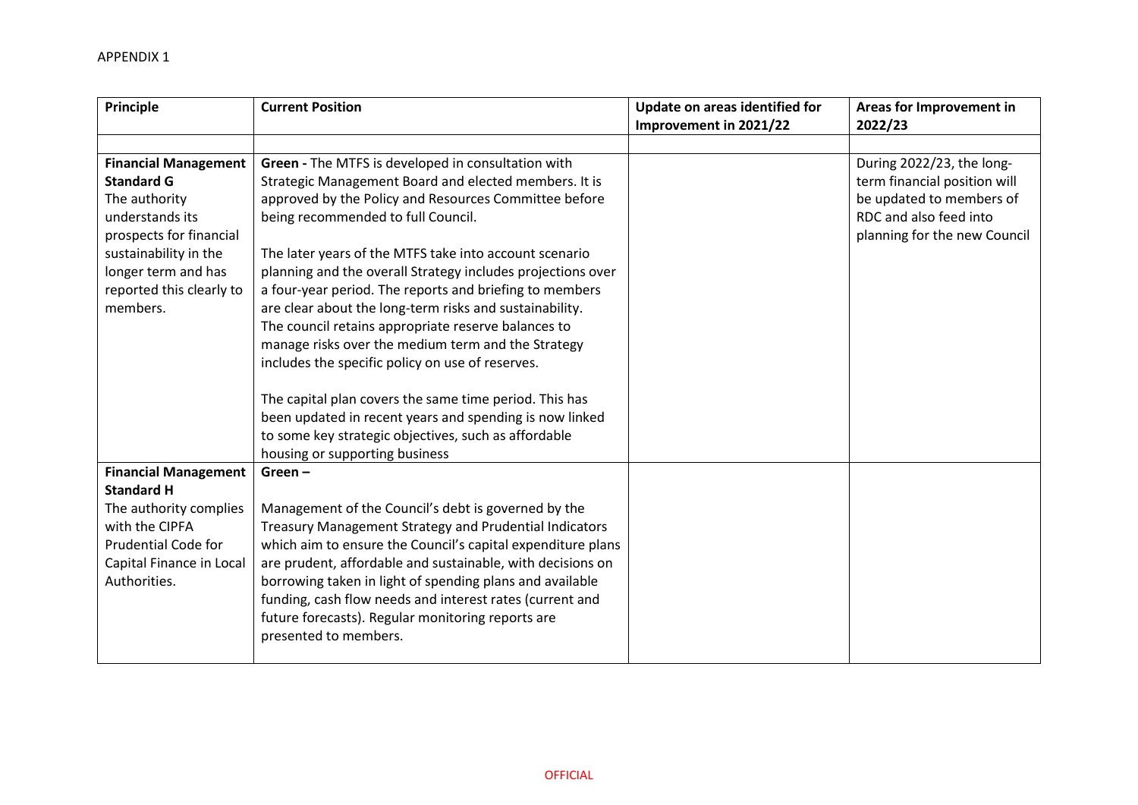| Principle                   | <b>Current Position</b>                                     | Update on areas identified for<br>Improvement in 2021/22 | Areas for Improvement in<br>2022/23 |
|-----------------------------|-------------------------------------------------------------|----------------------------------------------------------|-------------------------------------|
|                             |                                                             |                                                          |                                     |
| <b>Financial Management</b> | Green - The MTFS is developed in consultation with          |                                                          | During 2022/23, the long-           |
| <b>Standard G</b>           | Strategic Management Board and elected members. It is       |                                                          | term financial position will        |
| The authority               | approved by the Policy and Resources Committee before       |                                                          | be updated to members of            |
| understands its             | being recommended to full Council.                          |                                                          | RDC and also feed into              |
| prospects for financial     |                                                             |                                                          | planning for the new Council        |
| sustainability in the       | The later years of the MTFS take into account scenario      |                                                          |                                     |
| longer term and has         | planning and the overall Strategy includes projections over |                                                          |                                     |
| reported this clearly to    | a four-year period. The reports and briefing to members     |                                                          |                                     |
| members.                    | are clear about the long-term risks and sustainability.     |                                                          |                                     |
|                             | The council retains appropriate reserve balances to         |                                                          |                                     |
|                             | manage risks over the medium term and the Strategy          |                                                          |                                     |
|                             | includes the specific policy on use of reserves.            |                                                          |                                     |
|                             | The capital plan covers the same time period. This has      |                                                          |                                     |
|                             | been updated in recent years and spending is now linked     |                                                          |                                     |
|                             | to some key strategic objectives, such as affordable        |                                                          |                                     |
|                             | housing or supporting business                              |                                                          |                                     |
| <b>Financial Management</b> | Green $-$                                                   |                                                          |                                     |
| <b>Standard H</b>           |                                                             |                                                          |                                     |
| The authority complies      | Management of the Council's debt is governed by the         |                                                          |                                     |
| with the CIPFA              | Treasury Management Strategy and Prudential Indicators      |                                                          |                                     |
| <b>Prudential Code for</b>  | which aim to ensure the Council's capital expenditure plans |                                                          |                                     |
| Capital Finance in Local    | are prudent, affordable and sustainable, with decisions on  |                                                          |                                     |
| Authorities.                | borrowing taken in light of spending plans and available    |                                                          |                                     |
|                             | funding, cash flow needs and interest rates (current and    |                                                          |                                     |
|                             | future forecasts). Regular monitoring reports are           |                                                          |                                     |
|                             | presented to members.                                       |                                                          |                                     |
|                             |                                                             |                                                          |                                     |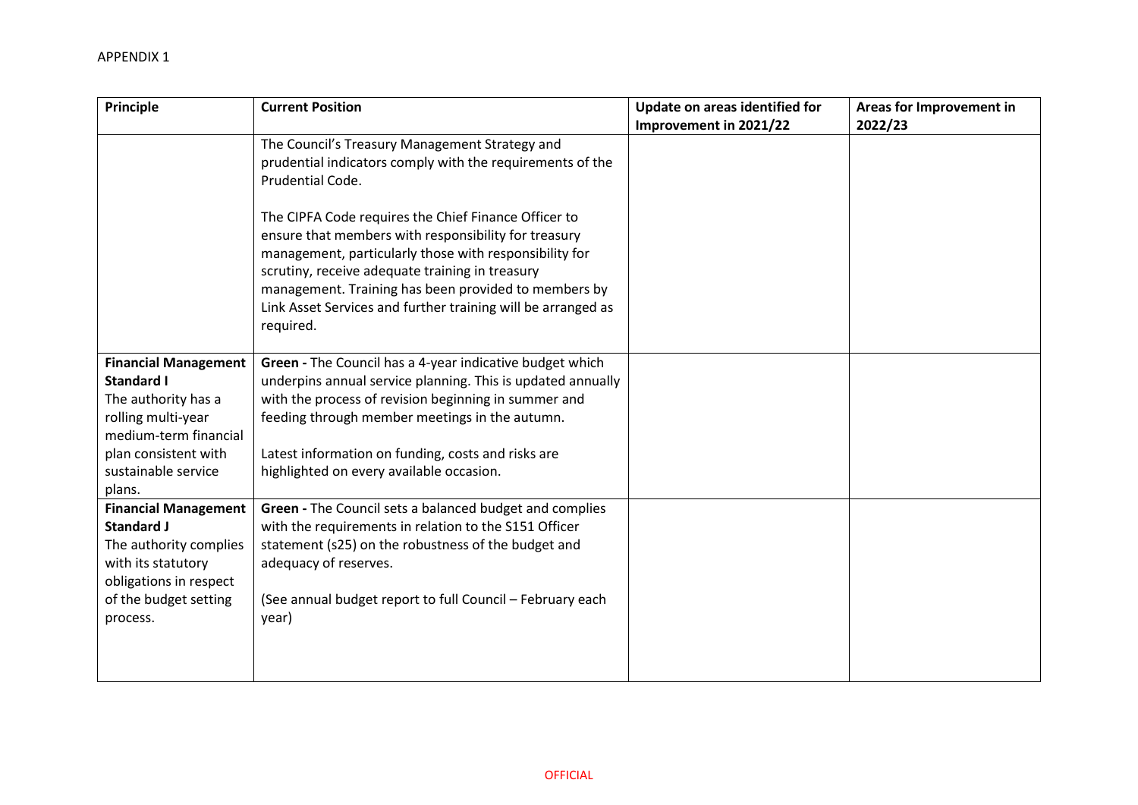| Principle                                                                                                                                                                       | <b>Current Position</b>                                                                                                                                                                                                                                                                                                                                                                                                                                                              | Update on areas identified for<br>Improvement in 2021/22 | Areas for Improvement in<br>2022/23 |
|---------------------------------------------------------------------------------------------------------------------------------------------------------------------------------|--------------------------------------------------------------------------------------------------------------------------------------------------------------------------------------------------------------------------------------------------------------------------------------------------------------------------------------------------------------------------------------------------------------------------------------------------------------------------------------|----------------------------------------------------------|-------------------------------------|
|                                                                                                                                                                                 | The Council's Treasury Management Strategy and<br>prudential indicators comply with the requirements of the<br>Prudential Code.<br>The CIPFA Code requires the Chief Finance Officer to<br>ensure that members with responsibility for treasury<br>management, particularly those with responsibility for<br>scrutiny, receive adequate training in treasury<br>management. Training has been provided to members by<br>Link Asset Services and further training will be arranged as |                                                          |                                     |
|                                                                                                                                                                                 | required.                                                                                                                                                                                                                                                                                                                                                                                                                                                                            |                                                          |                                     |
| <b>Financial Management</b><br><b>Standard I</b><br>The authority has a<br>rolling multi-year<br>medium-term financial<br>plan consistent with<br>sustainable service<br>plans. | Green - The Council has a 4-year indicative budget which<br>underpins annual service planning. This is updated annually<br>with the process of revision beginning in summer and<br>feeding through member meetings in the autumn.<br>Latest information on funding, costs and risks are<br>highlighted on every available occasion.                                                                                                                                                  |                                                          |                                     |
| <b>Financial Management</b><br><b>Standard J</b><br>The authority complies<br>with its statutory<br>obligations in respect<br>of the budget setting<br>process.                 | Green - The Council sets a balanced budget and complies<br>with the requirements in relation to the S151 Officer<br>statement (s25) on the robustness of the budget and<br>adequacy of reserves.<br>(See annual budget report to full Council - February each<br>year)                                                                                                                                                                                                               |                                                          |                                     |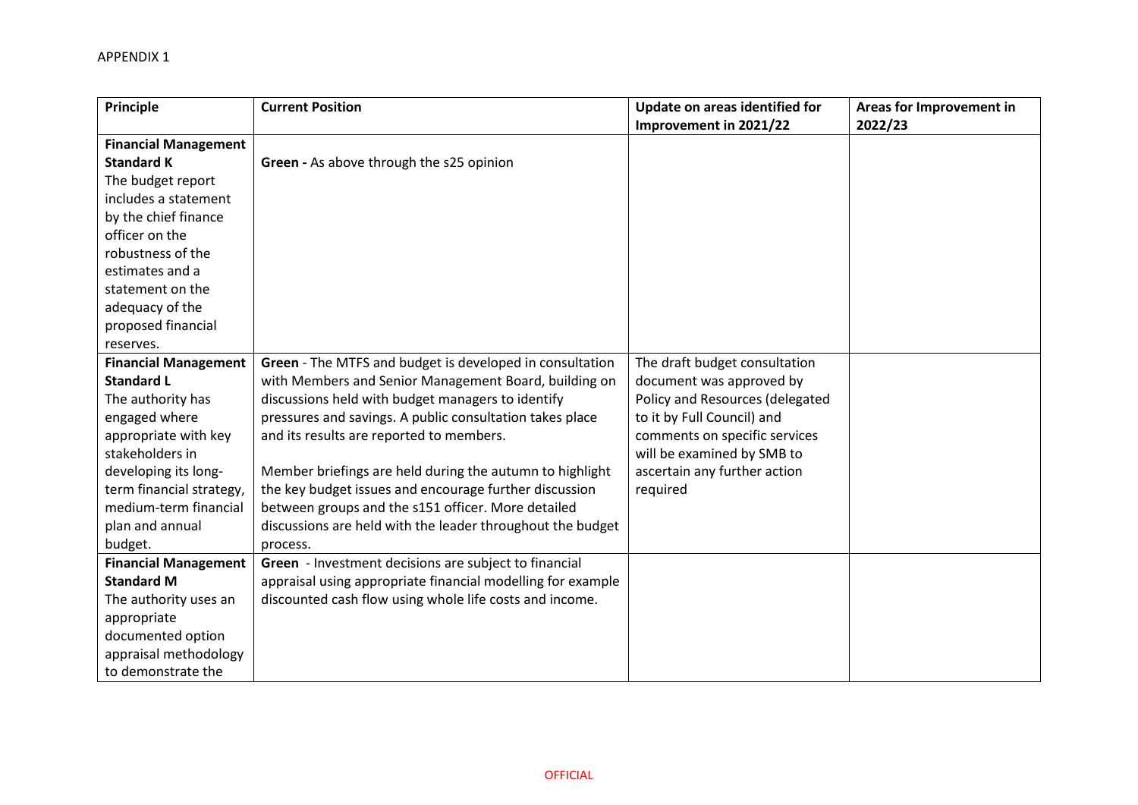## APPENDIX 1

| Principle                   | <b>Current Position</b>                                     | Update on areas identified for  | Areas for Improvement in |
|-----------------------------|-------------------------------------------------------------|---------------------------------|--------------------------|
|                             |                                                             | Improvement in 2021/22          | 2022/23                  |
| <b>Financial Management</b> |                                                             |                                 |                          |
| <b>Standard K</b>           | Green - As above through the s25 opinion                    |                                 |                          |
| The budget report           |                                                             |                                 |                          |
| includes a statement        |                                                             |                                 |                          |
| by the chief finance        |                                                             |                                 |                          |
| officer on the              |                                                             |                                 |                          |
| robustness of the           |                                                             |                                 |                          |
| estimates and a             |                                                             |                                 |                          |
| statement on the            |                                                             |                                 |                          |
| adequacy of the             |                                                             |                                 |                          |
| proposed financial          |                                                             |                                 |                          |
| reserves.                   |                                                             |                                 |                          |
| <b>Financial Management</b> | Green - The MTFS and budget is developed in consultation    | The draft budget consultation   |                          |
| <b>Standard L</b>           | with Members and Senior Management Board, building on       | document was approved by        |                          |
| The authority has           | discussions held with budget managers to identify           | Policy and Resources (delegated |                          |
| engaged where               | pressures and savings. A public consultation takes place    | to it by Full Council) and      |                          |
| appropriate with key        | and its results are reported to members.                    | comments on specific services   |                          |
| stakeholders in             |                                                             | will be examined by SMB to      |                          |
| developing its long-        | Member briefings are held during the autumn to highlight    | ascertain any further action    |                          |
| term financial strategy,    | the key budget issues and encourage further discussion      | required                        |                          |
| medium-term financial       | between groups and the s151 officer. More detailed          |                                 |                          |
| plan and annual             | discussions are held with the leader throughout the budget  |                                 |                          |
| budget.                     | process.                                                    |                                 |                          |
| <b>Financial Management</b> | Green - Investment decisions are subject to financial       |                                 |                          |
| <b>Standard M</b>           | appraisal using appropriate financial modelling for example |                                 |                          |
| The authority uses an       | discounted cash flow using whole life costs and income.     |                                 |                          |
| appropriate                 |                                                             |                                 |                          |
| documented option           |                                                             |                                 |                          |
| appraisal methodology       |                                                             |                                 |                          |
| to demonstrate the          |                                                             |                                 |                          |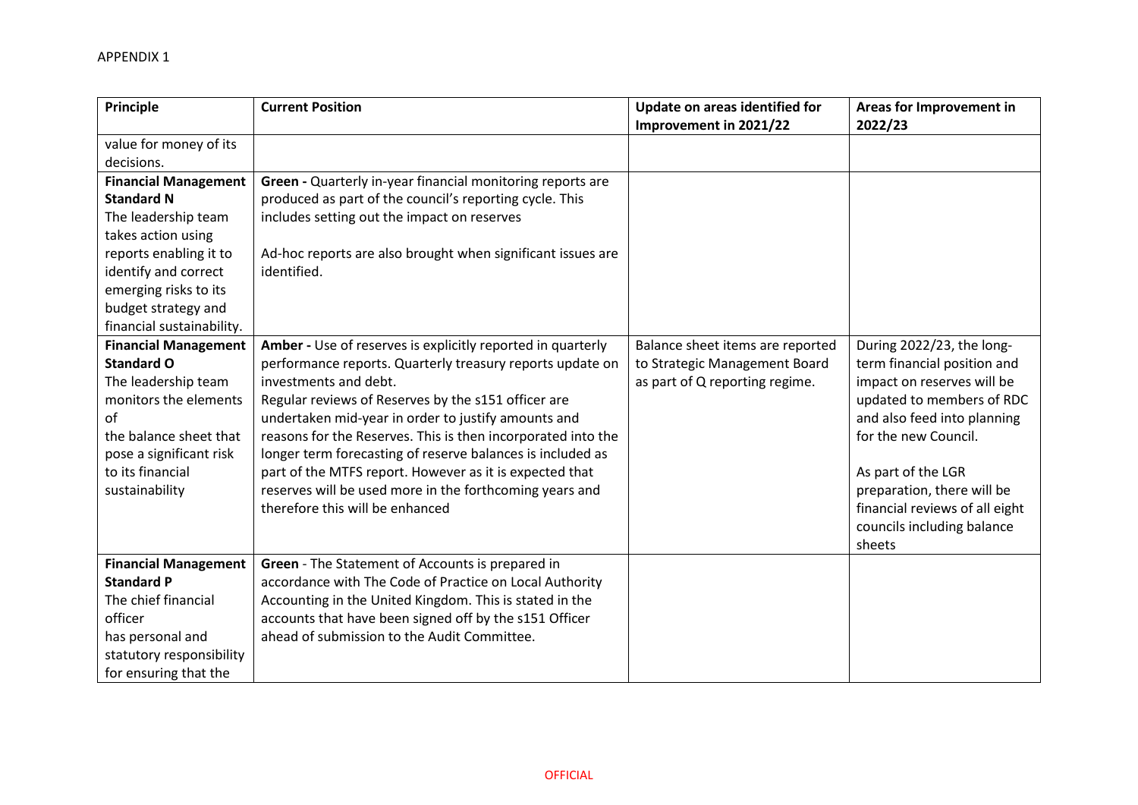| Principle                                                                                                                                                                                         | <b>Current Position</b>                                                                                                                                                                                                                                                                                                                                                                                                                                                                                                                                | Update on areas identified for<br>Improvement in 2021/22                                            | Areas for Improvement in<br>2022/23                                                                                                                                                                                                                                                                      |
|---------------------------------------------------------------------------------------------------------------------------------------------------------------------------------------------------|--------------------------------------------------------------------------------------------------------------------------------------------------------------------------------------------------------------------------------------------------------------------------------------------------------------------------------------------------------------------------------------------------------------------------------------------------------------------------------------------------------------------------------------------------------|-----------------------------------------------------------------------------------------------------|----------------------------------------------------------------------------------------------------------------------------------------------------------------------------------------------------------------------------------------------------------------------------------------------------------|
| value for money of its<br>decisions.<br><b>Financial Management</b><br><b>Standard N</b>                                                                                                          | Green - Quarterly in-year financial monitoring reports are<br>produced as part of the council's reporting cycle. This                                                                                                                                                                                                                                                                                                                                                                                                                                  |                                                                                                     |                                                                                                                                                                                                                                                                                                          |
| The leadership team<br>takes action using<br>reports enabling it to<br>identify and correct<br>emerging risks to its<br>budget strategy and<br>financial sustainability.                          | includes setting out the impact on reserves<br>Ad-hoc reports are also brought when significant issues are<br>identified.                                                                                                                                                                                                                                                                                                                                                                                                                              |                                                                                                     |                                                                                                                                                                                                                                                                                                          |
| <b>Financial Management</b><br><b>Standard O</b><br>The leadership team<br>monitors the elements<br>of<br>the balance sheet that<br>pose a significant risk<br>to its financial<br>sustainability | Amber - Use of reserves is explicitly reported in quarterly<br>performance reports. Quarterly treasury reports update on<br>investments and debt.<br>Regular reviews of Reserves by the s151 officer are<br>undertaken mid-year in order to justify amounts and<br>reasons for the Reserves. This is then incorporated into the<br>longer term forecasting of reserve balances is included as<br>part of the MTFS report. However as it is expected that<br>reserves will be used more in the forthcoming years and<br>therefore this will be enhanced | Balance sheet items are reported<br>to Strategic Management Board<br>as part of Q reporting regime. | During 2022/23, the long-<br>term financial position and<br>impact on reserves will be<br>updated to members of RDC<br>and also feed into planning<br>for the new Council.<br>As part of the LGR<br>preparation, there will be<br>financial reviews of all eight<br>councils including balance<br>sheets |
| <b>Financial Management</b><br><b>Standard P</b><br>The chief financial<br>officer<br>has personal and<br>statutory responsibility<br>for ensuring that the                                       | Green - The Statement of Accounts is prepared in<br>accordance with The Code of Practice on Local Authority<br>Accounting in the United Kingdom. This is stated in the<br>accounts that have been signed off by the s151 Officer<br>ahead of submission to the Audit Committee.                                                                                                                                                                                                                                                                        |                                                                                                     |                                                                                                                                                                                                                                                                                                          |